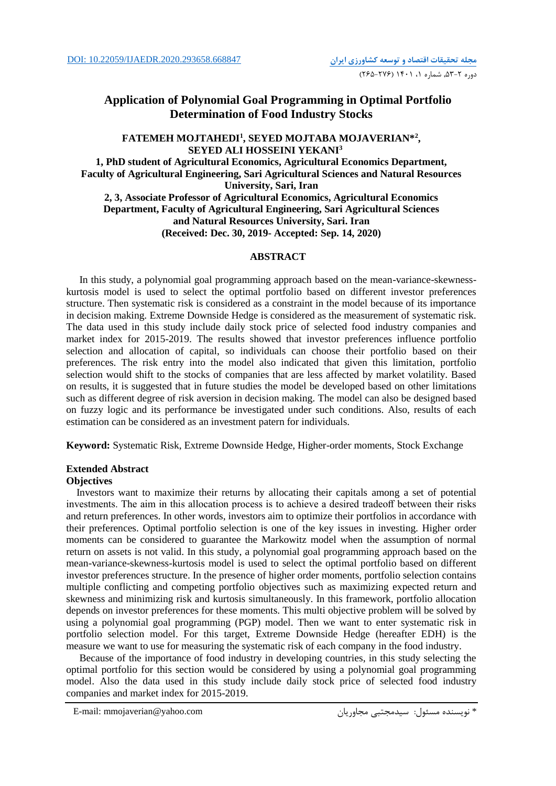# **Application of Polynomial Goal Programming in Optimal Portfolio Determination of Food Industry Stocks**

## **FATEMEH MOJTAHEDI<sup>1</sup> , SEYED MOJTABA MOJAVERIAN\*<sup>2</sup> , SEYED ALI HOSSEINI YEKANI<sup>3</sup> 1, PhD student of Agricultural Economics, Agricultural Economics Department, Faculty of Agricultural Engineering, Sari Agricultural Sciences and Natural Resources**

**University, Sari, Iran 2, 3, Associate Professor of Agricultural Economics, Agricultural Economics Department, Faculty of Agricultural Engineering, Sari Agricultural Sciences and Natural Resources University, Sari. Iran**

**(Received: Dec. 30, 2019- Accepted: Sep. 14, 2020)**

## **ABSTRACT**

In this study, a polynomial goal programming approach based on the mean-variance-skewnesskurtosis model is used to select the optimal portfolio based on different investor preferences structure. Then systematic risk is considered as a constraint in the model because of its importance in decision making. Extreme Downside Hedge is considered as the measurement of systematic risk. The data used in this study include daily stock price of selected food industry companies and market index for 2015-2019. The results showed that investor preferences influence portfolio selection and allocation of capital, so individuals can choose their portfolio based on their preferences. The risk entry into the model also indicated that given this limitation, portfolio selection would shift to the stocks of companies that are less affected by market volatility. Based on results, it is suggested that in future studies the model be developed based on other limitations such as different degree of risk aversion in decision making. The model can also be designed based on fuzzy logic and its performance be investigated under such conditions. Also, results of each estimation can be considered as an investment patern for individuals.

**Keyword:** Systematic Risk, Extreme Downside Hedge, Higher-order moments, Stock Exchange

## **Extended Abstract**

## **Objectives**

Investors want to maximize their returns by allocating their capitals among a set of potential investments. The aim in this allocation process is to achieve a desired tradeoff between their risks and return preferences. In other words, investors aim to optimize their portfolios in accordance with their preferences. Optimal portfolio selection is one of the key issues in investing. Higher order moments can be considered to guarantee the Markowitz model when the assumption of normal return on assets is not valid. In this study, a polynomial goal programming approach based on the mean-variance-skewness-kurtosis model is used to select the optimal portfolio based on different investor preferences structure. In the presence of higher order moments, portfolio selection contains multiple conflicting and competing portfolio objectives such as maximizing expected return and skewness and minimizing risk and kurtosis simultaneously. In this framework, portfolio allocation depends on investor preferences for these moments. This multi objective problem will be solved by using a polynomial goal programming (PGP) model. Then we want to enter systematic risk in portfolio selection model. For this target, Extreme Downside Hedge (hereafter EDH) is the measure we want to use for measuring the systematic risk of each company in the food industry.

Because of the importance of food industry in developing countries, in this study selecting the optimal portfolio for this section would be considered by using a polynomial goal programming model. Also the data used in this study include daily stock price of selected food industry companies and market index for 2015-2019.

E-mail: mmojaverian@yahoo.com مجاوريان سیدمجتبی :مسئول نويسنده\*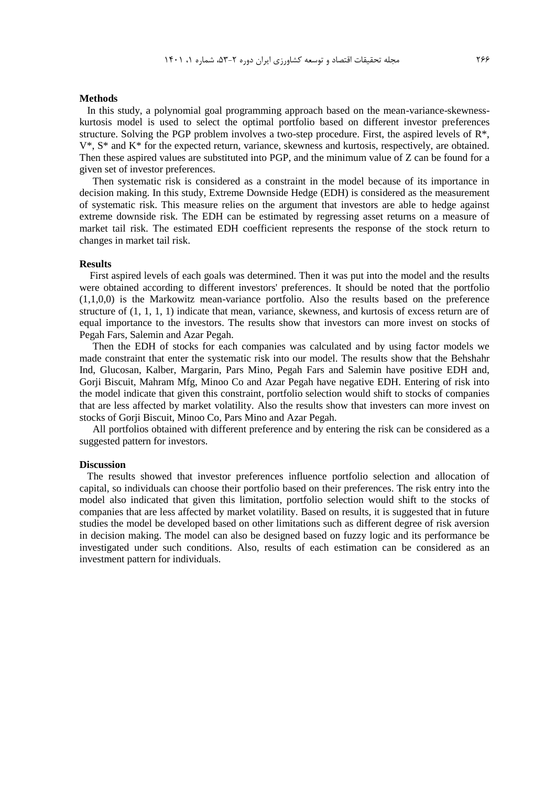#### **Methods**

In this study, a polynomial goal programming approach based on the mean-variance-skewnesskurtosis model is used to select the optimal portfolio based on different investor preferences structure. Solving the PGP problem involves a two-step procedure. First, the aspired levels of R\*, V\*, S\* and K\* for the expected return, variance, skewness and kurtosis, respectively, are obtained. Then these aspired values are substituted into PGP, and the minimum value of Z can be found for a given set of investor preferences.

Then systematic risk is considered as a constraint in the model because of its importance in decision making. In this study, Extreme Downside Hedge (EDH) is considered as the measurement of systematic risk. This measure relies on the argument that investors are able to hedge against extreme downside risk. The EDH can be estimated by regressing asset returns on a measure of market tail risk. The estimated EDH coefficient represents the response of the stock return to changes in market tail risk.

#### **Results**

First aspired levels of each goals was determined. Then it was put into the model and the results were obtained according to different investors' preferences. It should be noted that the portfolio (1,1,0,0) is the Markowitz mean-variance portfolio. Also the results based on the preference structure of (1, 1, 1, 1) indicate that mean, variance, skewness, and kurtosis of excess return are of equal importance to the investors. The results show that investors can more invest on stocks of Pegah Fars, Salemin and Azar Pegah.

Then the EDH of stocks for each companies was calculated and by using factor models we made constraint that enter the systematic risk into our model. The results show that the Behshahr Ind, Glucosan, Kalber, Margarin, Pars Mino, Pegah Fars and Salemin have positive EDH and, Gorji Biscuit, Mahram Mfg, Minoo Co and Azar Pegah have negative EDH. Entering of risk into the model indicate that given this constraint, portfolio selection would shift to stocks of companies that are less affected by market volatility. Also the results show that investers can more invest on stocks of Gorji Biscuit, Minoo Co, Pars Mino and Azar Pegah.

All portfolios obtained with different preference and by entering the risk can be considered as a suggested pattern for investors.

#### **Discussion**

The results showed that investor preferences influence portfolio selection and allocation of capital, so individuals can choose their portfolio based on their preferences. The risk entry into the model also indicated that given this limitation, portfolio selection would shift to the stocks of companies that are less affected by market volatility. Based on results, it is suggested that in future studies the model be developed based on other limitations such as different degree of risk aversion in decision making. The model can also be designed based on fuzzy logic and its performance be investigated under such conditions. Also, results of each estimation can be considered as an investment pattern for individuals.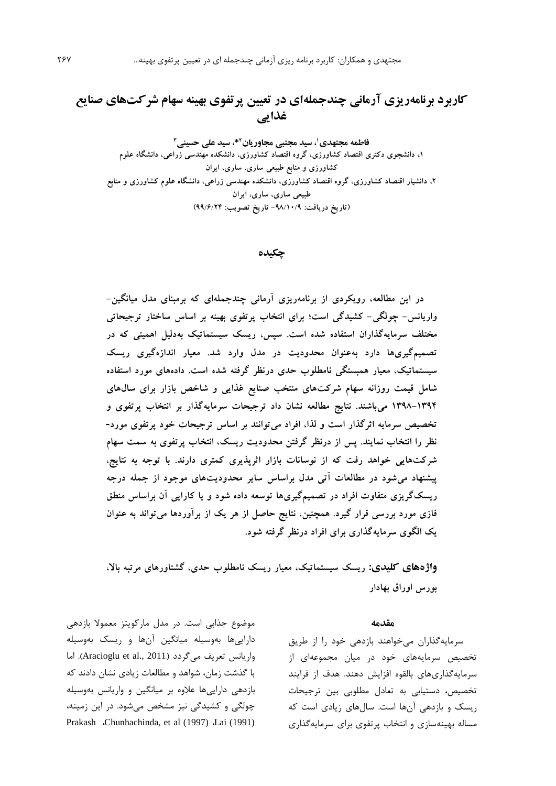# **کاربرد برنامهریزی آرمانی چندجملهای در تعیین پرتفوی بهینه سهام شرکتهای صنایع غذایی**

**، سید مجتبی مجاوریان <sup>1</sup> فاطمه مجتهدی \*، سید علی حسینی <sup>2</sup> 3 ،1 دانشجوی دکتری اقتصاد کشاورزی، گروه اقتصاد کشاورزی، دانشکده مهندسی زراعی، دانشگاه علوم کشاورزی و منابع طبیعی ساری، ساری، ایران ،2 دانشیار اقتصاد کشاورزی، گروه اقتصاد کشاورزی، دانشکده مهندسی زراعی، دانشگاه علوم کشاورزی و منابع طبیعی ساری، ساری، ایران )تاریخ دریافت: -98/10/9 تاریخ تصویب: 99/6/24(**

**چکیده**

**در این مطالعه، رویکردی از برنامهریزی آرمانی چندجملهای که برمبنای مدل میانگین- واریانس- چولگی- کشیدگی است؛ برای انتخاب پرتفوی بهینه بر اساس ساختار ترجیحاتی مختلف سرمایهگذاران استفاده شده است. سپس، ریسک سیستماتیک بهدلیل اهمیتی که در تصمیمگیریها دارد بهعنوان محدودیت در مدل وارد شد. معیار اندازهگیری ریسک سیستماتیک، معیار همبستگی نامطلوب حدی درنظر گرفته شده است. دادههای مورد استفاده شامل قیمت روزانه سهام شرکتهای منتخب صنایع غذایی و شاخص بازار برای سالهای 1398-1394 میباشند. نتایج مطالعه نشان داد ترجیحات سرمایهگذار بر انتخاب پرتفوی و تخصیص سرمایه اثرگذار است و لذا، افراد میتوانند بر اساس ترجیحات خود پرتفوی مورد- نظر را انتخاب نمایند. پس از درنظر گرفتن محدودیت ریسک، انتخاب پرتفوی به سمت سهام شرکتهایی خواهد رفت که از نوسانات بازار اثرپذیری کمتری دارند. با توجه به نتایج، پیشنهاد میشود در مطالعات آتی مدل براساس سایر محدودیتهای موجود از جمله درجه ریسکگریزی متفاوت افراد در تصمیمگیریها توسعه داده شود و یا کارایی آن براساس منطق فازی مورد بررسی قرار گیرد. همچنین، نتایج حاصل از هر یک از برآوردها میتواند به عنوان یک الگوی سرمایهگذاری برای افراد درنظر گرفته شود.**

**واژههای کلیدی: ریسک سیستماتیک، معیار ریسک نامطلوب حدی، گشتاورهای مرتبه باال، بورس اوراق بهادار** 

#### **مقدمه**

سرمايهگذاران میخواهند بازدهی خود را از طريق تخصیص سرمايههاي خود در میان مجموعهاي از سرمايهگذاريهاي بالقوه افزايش دهند. هدف از فرايند تخصیص، دستیابی به تعادل مطلوبی بین ترجیحات ريسک و بازدهی آنها است. سالهاي زيادي است که مساله بهینهسازي و انتخاب پرتفوي براي سرمايهگذاري

موضوع جذابی است. در مدل مارکويتز معموال بازدهی دارايیها بهوسیله میانگین آنها و ريسک بهوسیله واريانس تعريف ميگردد (Aracioglu et al., 2011). اما با گذشت زمان، شواهد و مطالعات زيادي نشان دادند که بازدهی دارايیها عالوه بر میانگین و واريانس بهوسیله چولگی و کشیدگی نیز مشخص میشود. در اين زمینه، Prakash *G*hunhachinda, et al (1997) *Lai* (1991)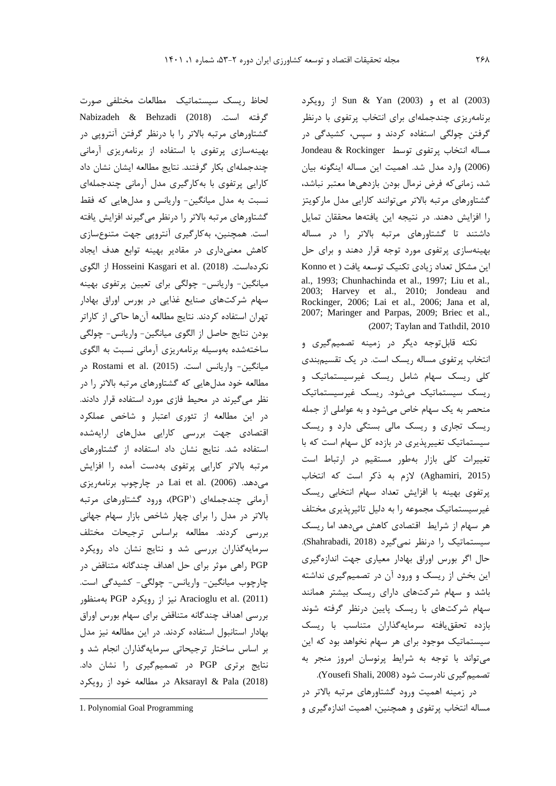رويکرد از Sun & Yan (2003) و et al (2003) برنامهريزي چندجملهاي براي انتخاب پرتفوي با درنظر گرفتن چولگی استفاده کردند و سپس، کشیدگی در مساله انتخاب پرتفوي توسط Rockinger & Jondeau (2006) وارد مدل شد. اهمیت اين مساله اينگونه بیان شد، زمانیکه فرض نرمال بودن بازدهیها معتبر نباشد، گشتاورهاي مرتبه باالتر میتوانند کارايی مدل مارکويتز را افزايش دهند. در نتیجه اين يافتهها محققان تمايل داشتند تا گشتاورهاي مرتبه باالتر را در مساله بهینهسازي پرتفوي مورد توجه قرار دهند و براي حل اين مشکل تعداد زيادي تکنيک توسعه يافت ( Konno et al., 1993; Chunhachinda et al., 1997; Liu et al., 2003; Harvey et al., 2010; Jondeau and Rockinger, 2006; Lai et al., 2006; Jana et al, 2007; Maringer and Parpas, 2009; Briec et al., )2007; Taylan and Tatlıdil, 2010

نکته قابلتوجه ديگر در زمینه تصمیمگیري و انتخاب پرتفوي مساله ريسک است. در يک تقسیمبندي کلی ريسک سهام شامل ريسک غیرسیستماتیک و ريسک سیستماتیک میشود. ريسک غیرسیستماتیک منحصر به يک سهام خاص میشود و به عواملی از جمله ريسک تجاري و ريسک مالی بستگی دارد و ريسک سیستماتیک تغییرپذيري در بازده کل سهام است که با تغییرات کلی بازار بهطور مستقیم در ارتباط است )2015 ,Aghamiri )الزم به ذکر است که انتخاب پرتفوي بهینه با افزايش تعداد سهام انتخابی ريسک غیرسیستماتیک مجموعه را به دلیل تاثیرپذيري مختلف هر سهام از شرايط اقتصادي کاهش میدهد اما ريسک سیستماتیک را درنظر نمیگیرد )2018 ,Shahrabadi). حال اگر بورس اوراق بهادار معیاري جهت اندازهگیري اين بخش از ريسک و ورود آن در تصمیمگیري نداشته باشد و سهام شرکتهاي داراي ريسک بیشتر همانند سهام شرکتهاي با ريسک پايین درنظر گرفته شوند بازده تحققيافته سرمايهگذاران متناسب با ريسک سیستماتیک موجود براي هر سهام نخواهد بود که اين میتواند با توجه به شرايط پرنوسان امروز منجر به تصمیمگیری نادرست شود (Yousefi Shali, 2008).

در زمینه اهمیت ورود گشتاورهاي مرتبه باالتر در مساله انتخاب پرتفوي و همچنین، اهمیت اندازهگیري و

لحاظ ريسک سیستماتیک مطالعات مختلفی صورت گرفته است. (2018) Behzadi & Nabizadeh گشتاورهاي مرتبه باالتر را با درنظر گرفتن آنتروپی در بهینهسازي پرتفوي با استفاده از برنامهريزي آرمانی چندجملهاي بکار گرفتند. نتايج مطالعه ايشان نشان داد کارايی پرتفوي با بهکارگیري مدل آرمانی چندجملهاي نسبت به مدل میانگین- واريانس و مدلهايی که فقط گشتاورهاي مرتبه باالتر را درنظر میگیرند افزايش يافته است. همچنین، بهکارگیري آنتروپی جهت متنوعسازي کاهش معنیداري در مقادير بهینه توابع هدف ايجاد الگوي از Hosseini Kasgari et al. (2018) .نکردهاست میانگین- واريانس- چولگی براي تعیین پرتفوي بهینه سهام شرکتهاي صنايع غذايی در بورس اوراق بهادار تهران استفاده کردند. نتايج مطالعه آنها حاکی از کاراتر بودن نتايج حاصل از الگوي میانگین- واريانس- چولگی ساختهشده بهوسیله برنامهريزي آرمانی نسبت به الگوي میانگین- واریانس است. (2015) Rostami et al. در مطالعه خود مدلهايی که گشتاورهاي مرتبه باالتر را در نظر میگیرند در محیط فازي مورد استفاده قرار دادند. در اين مطالعه از تئوري اعتبار و شاخص عملکرد اقتصادي جهت بررسی کارايی مدلهاي ارايهشده استفاده شد. نتايج نشان داد استفاده از گشتاورهاي مرتبه باالتر کارايی پرتفوي بهدست آمده را افزايش میدهد. (2006) .al et Lai در چارچوب برنامهريزي 1 آرمانی چندجملهاي ) PGP)، ورود گشتاورهاي مرتبه باالتر در مدل را براي چهار شاخص بازار سهام جهانی بررسی کردند. مطالعه براساس ترجیحات مختلف سرمايهگذاران بررسی شد و نتايج نشان داد رويکرد PGP راهی موثر براي حل اهداف چندگانه متناقض در چارچوب میانگین- واريانس- چولگی- کشیدگی است. (2011) .al et Aracioglu نیز از رويکرد PGP بهمنظور بررسی اهداف چندگانه متناقض براي سهام بورس اوراق بهادار استانبول استفاده کردند. در اين مطالعه نیز مدل بر اساس ساختار ترجیحاتی سرمايهگذاران انجام شد و نتايج برتري PGP در تصمیمگیري را نشان داد. (2018) Pala & Aksarayl در مطالعه خود از رويکرد

 $\overline{a}$ 

<sup>1.</sup> Polynomial Goal Programming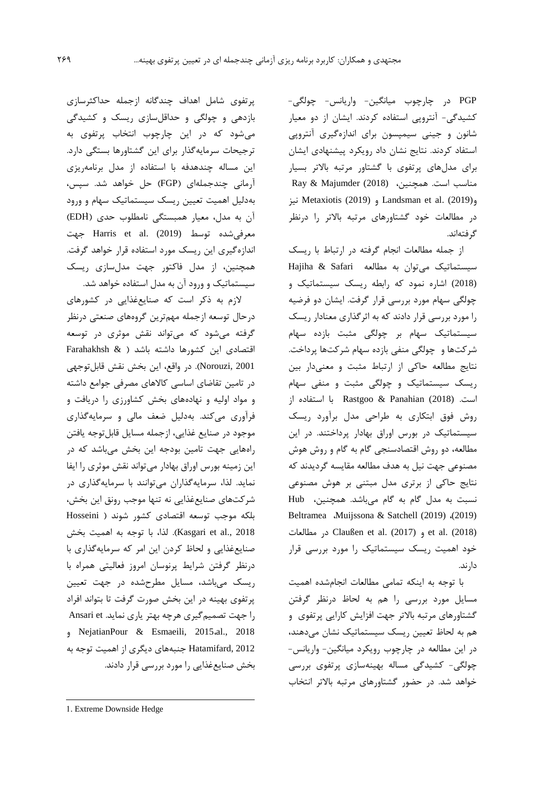PGP در چارچوب میانگین- واريانس- چولگی- کشیدگی- آنتروپی استفاده کردند. ايشان از دو معیار شانون و جینی سیمپسون براي اندازهگیري آنتروپی استفاد کردند. نتايج نشان داد رويکرد پیشنهادي ايشان براي مدلهاي پرتفوي با گشتاور مرتبه باالتر بسیار مناسب است. همچنین، (2018) Majumder & Ray نیز Metaxiotis (2019) و Landsman et al. (2019)و در مطالعات خود گشتاورهاي مرتبه باالتر را درنظر گرفتهاند.

از جمله مطالعات انجام گرفته در ارتباط با ريسک سیستماتیک میتوان به مطالعه Safari & Hajiha (2018) اشاره نمود که رابطه ريسک سیستماتیک و چولگی سهام مورد بررسی قرار گرفت. ايشان دو فرضیه را مورد بررسی قرار دادند که به اثرگذاري معنادار ريسک سیستماتیک سهام بر چولگی مثبت بازده سهام شرکتها و چولگی منفی بازده سهام شرکتها پرداخت. نتايج مطالعه حاکی از ارتباط مثبت و معنیدار بین ريسک سیستماتیک و چولگی مثبت و منفی سهام است. (2018) Panahian & Rastgoo با استفاده از روش فوق ابتکاري به طراحی مدل برآورد ريسک سیستماتیک در بورس اوراق بهادار پرداختند. در اين مطالعه، دو روش اقتصادسنجی گام به گام و روش هوش مصنوعی جهت نیل به هدف مطالعه مقايسه گرديدند که نتايج حاکی از برتري مدل مبتنی بر هوش مصنوعی نسبت به مدل گام به گام میباشد. همچنین، Hub Beltramea ،Muijssona & Satchell (2019) ،(2019) مطالعات در Claußen et al. (2017) و et al. (2018) خود اهمیت ريسک سیستماتیک را مورد بررسی قرار دارند.

با توجه به اينکه تمامی مطالعات انجامشده اهمیت مسايل مورد بررسی را هم به لحاظ درنظر گرفتن گشتاورهاي مرتبه باالتر جهت افزايش کارايی پرتفوي و هم به لحاظ تعیین ريسک سیستماتیک نشان میدهند، در اين مطالعه در چارچوب رويکرد میانگین- واريانس- چولگی- کشیدگی مساله بهینهسازي پرتفوي بررسی خواهد شد. در حضور گشتاورهاي مرتبه باالتر انتخاب

پرتفوي شامل اهداف چندگانه ازجمله حداکثرسازي بازدهی و چولگی و حداقلسازي ريسک و کشیدگی میشود که در اين چارچوب انتخاب پرتفوي به ترجیحات سرمايهگذار براي اين گشتاورها بستگی دارد. اين مساله چندهدفه با استفاده از مدل برنامهريزي آرمانی چندجملهاي )FGP )حل خواهد شد. سپس، بهدلیل اهمیت تعیین ريسک سیستماتیک سهام و ورود ان به مدل، معیار همبستگی نامطلوب حدی (EDH) معرفی شده توسط (2019) .Harris et al. (2019 اندازهگیري اين ريسک مورد استفاده قرار خواهد گرفت. همچنین، از مدل فاکتور جهت مدلسازي ريسک سیستماتیک و ورود آن به مدل استفاده خواهد شد.

الزم به ذکر است که صنايعغذايی در کشورهاي درحال توسعه ازجمله مهمترين گروههاي صنعتی درنظر گرفته میشود که میتواند نقش موثري در توسعه اقتصادي اين کشورها داشته باشد ) & Farahakhsh 2001 ,Norouzi). در واقع، اين بخش نقش قابلتوجهی در تامین تقاضاي اساسی کاالهاي مصرفی جوامع داشته و مواد اولیه و نهادههاي بخش کشاورزي را دريافت و فرآوري میکند. بهدلیل ضعف مالی و سرمايهگذاري موجود در صنايع غذايی، ازجمله مسايل قابلتوجه يافتن راههايی جهت تامین بودجه اين بخش میباشد که در اين زمینه بورس اوراق بهادار میتواند نقش موثري را ايفا نمايد. لذا، سرمايهگذاران میتوانند با سرمايهگذاري در شرکتهاي صنايعغذايی نه تنها موجب رونق اين بخش، بلکه موجب توسعه اقتصادي کشور شوند ) Hosseini 2018 .,al et Kasgari). لذا، با توجه به اهمیت بخش صنايعغذايی و لحاظ کردن اين امر که سرمايهگذاري با درنظر گرفتن شرايط پرنوسان امروز فعالیتی همراه با ريسک میباشد، مسايل مطرحشده در جهت تعیین پرتفوي بهینه در اين بخش صورت گرفت تا بتواند افراد را جهت تصمیم گیری هرچه بهتر ياري نمايد. Ansari et و NejatianPour & Esmaeili, 2015،al., 2018 2012 ,Hatamifard جنبههاي ديگري از اهمیت توجه به بخش صنايعغذايی را مورد بررسی قرار دادند.

 $\overline{a}$ 

<sup>1.</sup> Extreme Downside Hedge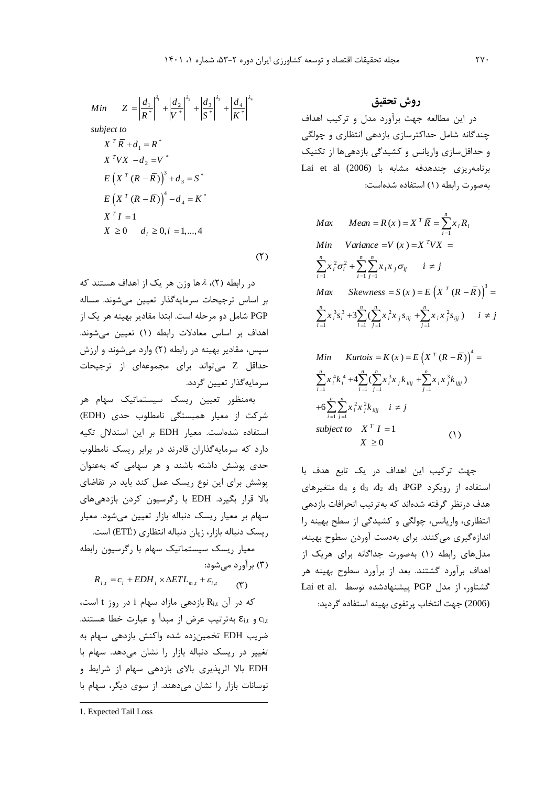$$
Min \t Z = \left| \frac{d_1}{R^*} \right|^{a_1} + \left| \frac{d_2}{V^*} \right|^{a_2} + \left| \frac{d_3}{S^*} \right|^{a_3} + \left| \frac{d_4}{K^*} \right|^{a_4}
$$
\n
$$
subject \t\t N \t T \t K + d_1 = R^*
$$
\n
$$
X^T V X - d_2 = V^*
$$
\n
$$
E \left( X^T (R - \overline{R}) \right)^3 + d_3 = S^*
$$
\n
$$
E \left( X^T (R - \overline{R}) \right)^4 - d_4 = K^*
$$
\n
$$
X^T I = 1
$$
\n
$$
X \ge 0 \t d_i \ge 0, i = 1, ..., 4
$$

 $(5)$ 

در رابطه (۲)، ۸ها وزن هر يک از اهداف هستند که بر اساس ترجیحات سرمايهگذار تعیین میشوند. مساله PGP شامل دو مرحله است. ابتدا مقادير بهینه هر يک از اهداف بر اساس معادالت رابطه )1( تعیین میشوند. سپس، مقادير بهينه در رابطه (٢) وارد میشوند و ارزش حداقل Z میتواند براي مجموعهاي از ترجیحات سرمايهگذار تعیین گردد.

بهمنظور تعیین ريسک سیستماتیک سهام هر شرکت از معیار همبستگی نامطلوب حدي )EDH ) استفاده شدهاست. معیار EDH بر اين استدالل تکیه دارد که سرمايهگذاران قادرند در برابر ريسک نامطلوب حدي پوشش داشته باشند و هر سهامی که بهعنوان پوشش براي اين نوع ريسک عمل کند بايد در تقاضاي باال قرار بگیرد. EDH با رگرسیون کردن بازدهیهاي سهام بر معیار ريسک دنباله بازار تعیین میشود. معیار ريسک دنباله بازار، زيان دنباله انتظاري (ETL) است.

معیار ريسک سیستماتیک سهام با رگرسیون رابطه )3( برآورد میشود:

 $R_{i,t} = c_i + EDH_i \times \Delta ETL_{m,t} + \varepsilon_{i,t}$  $(1)$ 

که در آن  $R_{\mathrm{i},\mathrm{t}}$  بازدهی مازاد سهام i در روز t است، t,c<sup>i</sup> و t,ε<sup>i</sup> بهترتیب عرض از مبدأ و عبارت خطا هستند. ضريب EDH تخمینزده شده واکنش بازدهی سهام به تغییر در ريسک دنباله بازار را نشان میدهد. سهام با EDH باال اثرپذيري باالي بازدهی سهام از شرايط و نوسانات بازار را نشان میدهند. از سوي ديگر، سهام با

 $\overline{a}$ 

**روش تحقیق** در اين مطالعه جهت برآورد مدل و ترکیب اهداف چندگانه شامل حداکثرسازي بازدهی انتظاري و چولگی و حداقلسازي واريانس و کشیدگی بازدهیها از تکنیک برنامهريزي چندهدفه مشابه با (2006) al et Lai بهصورت رابطه )1( استفاده شدهاست:

$$
Max \t Mean = R(x) = X^T \overline{R} = \sum_{i=1}^n x_i R_i
$$
  
\n
$$
Min \t Variance = V(x) = X^T V X =
$$
  
\n
$$
\sum_{i=1}^n x_i^2 \sigma_i^2 + \sum_{i=1}^n \sum_{j=1}^n x_i x_j \sigma_{ij} \t i \neq j
$$
  
\n
$$
Max \t Skewness = S(x) = E(X^T (R - \overline{R}))^3 =
$$
  
\n
$$
\sum_{i=1}^n x_i^3 s_i^3 + 3 \sum_{i=1}^n (\sum_{j=1}^n x_i^2 x_j s_{ij} + \sum_{j=1}^n x_i x_j^2 s_{ij}) \t i \neq j
$$

Min *Kurtois* = 
$$
K(x) = E(X^T (R - \overline{R}))^4 =
$$
  
\n
$$
\sum_{i=1}^{n} x_i^4 k_i^4 + 4 \sum_{i=1}^{n} (\sum_{j=1}^{n} x_i^3 x_j k_{iij} + \sum_{j=1}^{n} x_i x_j^3 k_{ijj})
$$
\n+6
$$
\sum_{i=1}^{n} \sum_{j=1}^{n} x_i^2 x_j^2 k_{iijj} \quad i \neq j
$$
\nsubject to 
$$
X^T I = 1
$$
\n
$$
X \geq 0
$$
\n(1)

جهت ترکیب اين اهداف در يک تابع هدف با استفاده از رويکرد PGP، 4d، 4d، 3d، 4d، متغيرهاي هدف درنظر گرفته شدهاند که بهترتیب انحرافات بازدهی انتظاري، واريانس، چولگی و کشیدگی از سطح بهینه را اندازهگیري میکنند. براي بهدست آوردن سطوح بهینه، مدلهاي رابطه )1( بهصورت جداگانه براي هريک از اهداف برآورد گشتند. بعد از برآورد سطوح بهینه هر گشتاور، از مدل PGP پیشنهادشده توسط .al et Lai (2006) جهت انتخاب پرتفوي بهینه استفاده گرديد:

<sup>1.</sup> Expected Tail Loss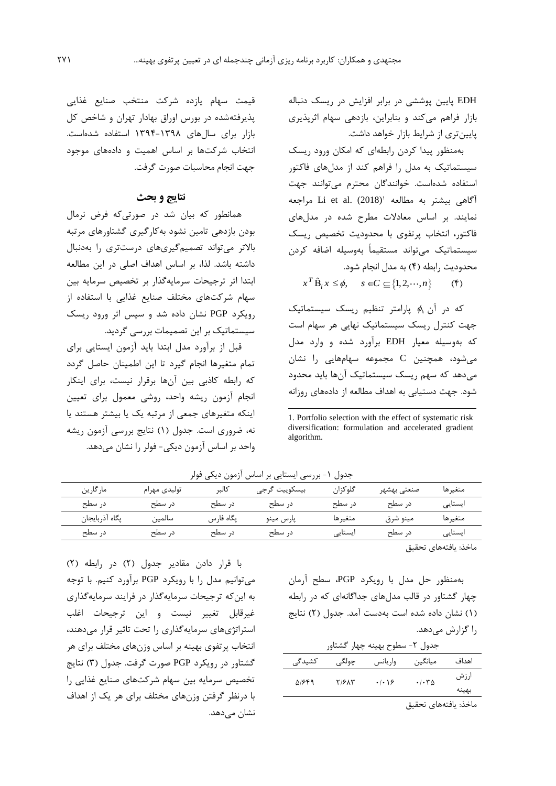EDH پايین پوششی در برابر افزايش در ريسک دنباله بازار فراهم میکند و بنابراين، بازدهی سهام اثرپذيري پايینتري از شرايط بازار خواهد داشت.

بهمنظور پیدا کردن رابطهاي که امکان ورود ريسک سیستماتیک به مدل را فراهم کند از مدلهاي فاکتور استفاده شدهاست. خوانندگان محترم میتوانند جهت 1 آگاهی بیشتر به مطالعه مراجعه Li et al. (2018) نمايند. بر اساس معادالت مطرح شده در مدلهاي فاکتور، انتخاب پرتفوي با محدوديت تخصیص ريسک سیستماتیک میتواند مستقیماً بهوسیله اضافه کردن محدوديت رابطه )4( به مدل انجام شود.

 $x^T \hat{B}_i x \le \phi$ ,  $s \in C \subseteq \{1, 2, \dots, n\}$  (f)

که در آن *k* پارامتر تنظیم ريسک سیستماتیک جهت کنترل ريسک سیستماتیک نهايی هر سهام است که بهوسیله معیار EDH برآورد شده و وارد مدل میشود، همچنین C مجموعه سهامهايی را نشان میدهد که سهم ريسک سیستماتیک آنها بايد محدود شود. جهت دستیابی به اهداف مطالعه از دادههاي روزانه

قیمت سهام يازده شرکت منتخب صنايع غذايی پذيرفتهشده در بورس اوراق بهادار تهران و شاخص کل بازار براي سالهاي 1394-1398 استفاده شدهاست. انتخاب شرکتها بر اساس اهمیت و دادههاي موجود جهت انجام محاسبات صورت گرفت.

# **نتایج و بحث**

همانطور که بیان شد در صورتیکه فرض نرمال بودن بازدهی تامین نشود بهکارگیري گشتاورهاي مرتبه باالتر میتواند تصمیمگیريهاي درستتري را بهدنبال داشته باشد. لذا، بر اساس اهداف اصلی در اين مطالعه ابتدا اثر ترجیحات سرمايهگذار بر تخصیص سرمايه بین سهام شرکتهاي مختلف صنايع غذايی با استفاده از رويکرد PGP نشان داده شد و سپس اثر ورود ريسک سیستماتیک بر اين تصمیمات بررسی گرديد.

قبل از برآورد مدل ابتدا بايد آزمون ايستايی براي تمام متغیرها انجام گیرد تا اين اطمینان حاصل گردد که رابطه کاذبی بین آنها برقرار نیست، براي اينکار انجام آزمون ريشه واحد، روشی معمول براي تعیین اينکه متغیرهاي جمعی از مرتبه يک يا بیشتر هستند يا نه، ضروري است. جدول )1( نتايج بررسی آزمون ريشه واحد بر اساس آزمون ديکی- فولر را نشان میدهد.

جدول 1- بررسی ايستايی بر اساس آزمون ديکی فولر

-

| مار گارين      | تولیدی مهرام | كالبر     | بيسكوييت گرجي | گلو گزان | صنعتي بهشهر | متغيرها |
|----------------|--------------|-----------|---------------|----------|-------------|---------|
| در سطح         | د, سطح       | د. سطح    | د, سطح        | د, سطح   | د, سطح      | ایستایی |
| پگاه اذربايجان | سالمين       | يگاه فارس | يارس مينو     | متغيرها  | مينو شرق    | متغيرها |
| د, سطح         | د, سطح       | د. سطح    | د, سطح        | ایستایی  | در سطح      | ایستایی |

ماخذ: يافتههاي تحقیق

بهمنظور حل مدل با رويکرد PGP، سطح آرمان چهار گشتاور در قالب مدلهاي جداگانهاي که در رابطه )1( نشان داده شده است بهدست آمد. جدول )2( نتايج را گزارش میدهد. جدول -2 سطوح بهینه چهار گشتاور

| جدول ۲- سطوح بهينه چهار گشتاور |       |                                |         |       |  |  |  |  |  |
|--------------------------------|-------|--------------------------------|---------|-------|--|--|--|--|--|
| کشیدگی                         | چولگى | واريانس                        | ميانگين | اهداف |  |  |  |  |  |
| 51649                          | Y/2XY | $\cdot$   $\cdot$   $\epsilon$ | .4.70   | ارزش  |  |  |  |  |  |
|                                |       |                                |         | بهينه |  |  |  |  |  |

ماخذ: يافتههاي تحقیق

با قرار دادن مقادير جدول (٢) در رابطه (٢) میتوانیم مدل را با رويکرد PGP برآورد کنیم. با توجه به اينکه ترجیحات سرمايهگذار در فرايند سرمايهگذاري غیرقابل تغییر نیست و اين ترجیحات اغلب استراتژيهاي سرمايهگذاري را تحت تاثیر قرار میدهند، انتخاب پرتفوي بهینه بر اساس وزنهاي مختلف براي هر گشتاور در رويكرد PGP صورت گرفت. جدول (٣) نتايج تخصیص سرمايه بین سهام شرکتهاي صنايع غذايی را با درنظر گرفتن وزنهاي مختلف براي هر يک از اهداف نشان مے،دھد.

<sup>1.</sup> Portfolio selection with the effect of systematic risk diversification: formulation and accelerated gradient algorithm.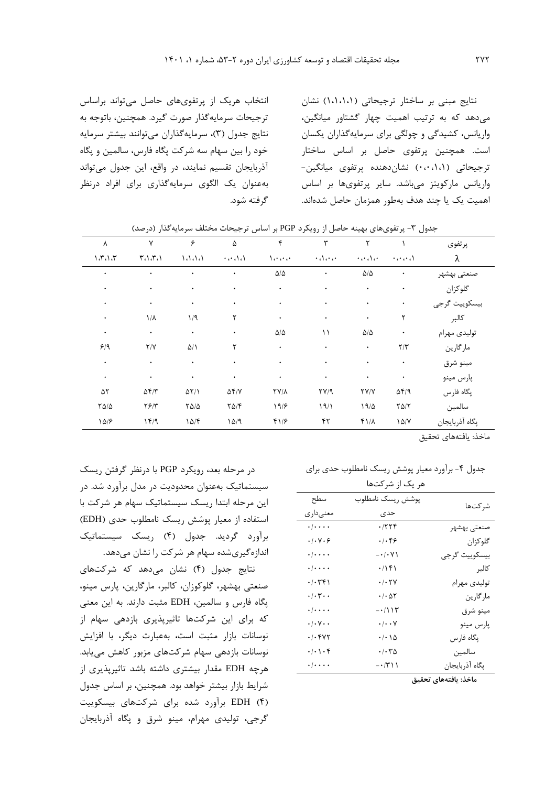انتخاب هريک از پرتفويهاي حاصل میتواند براساس ترجیحات سرمايهگذار صورت گیرد. همچنین، باتوجه به نتايج جدول (٣)، سرمايهگذاران میتوانند بیشتر سرمايه خود را بین سهام سه شرکت پگاه فارس، سالمین و پگاه آذربايجان تقسیم نمايند، در واقع، اين جدول میتواند بهعنوان يک الگوي سرمايهگذاري براي افراد درنظر گرفته شود.

نتايج مبنی بر ساختار ترجیحاتی )1،1،1،1( نشان میدهد که به ترتیب اهمیت چهار گشتاور میانگین، واريانس، کشیدگی و چولگی براي سرمايهگذاران يکسان است. همچنین پرتفوي حاصل بر اساس ساختار ترجیحاتی )0،0،1،1( نشاندهنده پرتفوي میانگین- واريانس مارکويتز میباشد. ساير پرتفويها بر اساس اهمیت يک يا چند هدف بهطور همزمان حاصل شدهاند.

| ٨                | ٧            | ۶                | ۵            | ۴                                    | ٣            | ۲               |                                    | پرتفوي         |
|------------------|--------------|------------------|--------------|--------------------------------------|--------------|-----------------|------------------------------------|----------------|
| 1.7.1.7          | $T_1, T_2$   | 1.1.1.1          | $\cdots$     | $\sqrt{1 + \epsilon^2 + \epsilon^2}$ | $\cdot$ deco | $\cdots$        | $\cdots$                           | λ              |
| ٠                | ٠            | ٠                | ٠            | $\Delta/\Delta$                      | ٠            | $\Delta/\Delta$ | $\bullet$                          | صنعتى بهشهر    |
| ٠                | ٠            | ٠                | ٠            | ٠                                    | ٠            | ٠               | ۰                                  | گلوکزان        |
| ٠                | $\bullet$    | ٠                | ٠            | ٠                                    | $\bullet$    | ٠               | $\bullet$                          | بيسكوييت گرجى  |
| ٠                | $1/\lambda$  | 1/9              | ٢            | ٠                                    | $\bullet$    | $\bullet$       | ٢                                  | كالبر          |
| ٠                | $\bullet$    | $\bullet$        | $\bullet$    | $\Delta/\Delta$                      | ۱۱           | $\Delta/\Delta$ | $\bullet$                          | توليدي مهرام   |
| 9/9              | Y/Y          | $\Delta/\Lambda$ | ٢            | $\bullet$                            | $\bullet$    | $\bullet$       | $\mathbf{r}/\mathbf{r}$            | مارگارين       |
| ٠                | $\bullet$    | ۰                | ٠            | ٠                                    | ٠            | ٠               | $\bullet$                          | مينو شرق       |
| ٠                | $\bullet$    | ٠                | $\bullet$    | ٠                                    | $\bullet$    | ٠               | $\bullet$                          | پارس مينو      |
| ۵٢               | $\Delta f/T$ | $\Delta Y/1$     | $\Delta f/V$ | <b>TY/A</b>                          | $\Gamma V/9$ | YY/Y            | $\Delta \mathfrak{F}/\mathfrak{q}$ | پگاه فارس      |
| $Y\Delta/\Delta$ | Y5/Y         | $Y\Delta/\Delta$ | $Y\Delta/F$  | 19/8                                 | 19/1         | 19/2            | $Y\Delta/Y$                        | سالمين         |
| 10/5             | 149          | 10/F             | 10/9         | $f\$                                 | ۴٢           | $f/\lambda$     | 10/Y                               | يگاه آذربايجان |

جدول ۳- پرتفوي هاي بهينه حاصل از رويکرد PGP بر اساس ترجيحات مختلف سرمايهگذار (درصد)

ماخذ: يافتههاي تحقیق

جدول ۴- برآورد معیار پوشش ريسک نامطلوب حدي براي

| هر یک از شرکتها                         |                |
|-----------------------------------------|----------------|
| پوشش ريسک نامطلوب                       | شر كتھا        |
| حدى                                     |                |
| ۰/۲۲۴                                   | صنعتي بهشهر    |
| $\cdot$ / $\cdot$ ۴۶                    | گلوکزان        |
| $-\cdot/\cdot$ Y)                       | بيسكوييت گرجي  |
| .799                                    | كالبر          |
| $\cdot$ / $\cdot$ $\uparrow$ $\vee$     | توليدي مهرام   |
| $\cdot$ / $\cdot$ $\Delta \tau$         | مارگارين       |
| $-\cdot/115$                            | مينو شرق       |
| $\cdot/\cdot\cdot$ Y                    | پارس مينو      |
| $\cdot/\cdot\wedge\Delta$               | پگاه فارس      |
| $\cdot$ / $\cdot$ $\tau$ $\vartriangle$ | سالمين         |
| $-1711$                                 | پگاه آذربايجان |
|                                         |                |

**ماخذ: يافتههاي تحقيق**

در مرحله بعد، رويکرد PGP با درنظر گرفتن ريسک سیستماتیک بهعنوان محدوديت در مدل برآورد شد. در اين مرحله ابتدا ريسک سیستماتیک سهام هر شرکت با استفاده از معیار پوشش ريسک نامطلوب حدي )EDH ) برآورد گرديد. جدول )4( ريسک سیستماتیک اندازهگیريشده سهام هر شرکت را نشان میدهد.

نتايج جدول )4( نشان میدهد که شرکتهاي صنعتی بهشهر، گلوکوزان، کالبر، مارگارين، پارس مینو، پگاه فارس و سالمین، EDH مثبت دارند. به اين معنی که براي اين شرکتها تاثیرپذيري بازدهی سهام از نوسانات بازار مثبت است، بهعبارت ديگر، با افزايش نوسانات بازدهی سهام شرکتهاي مزبور کاهش میيابد. هرچه EDH مقدار بیشتري داشته باشد تاثیرپذيري از شرايط بازار بیشتر خواهد بود. همچنین، بر اساس جدول )4( EDH برآورد شده براي شرکتهاي بیسکويیت گرجی، تولیدي مهرام، مینو شرق و پگاه آذربايجان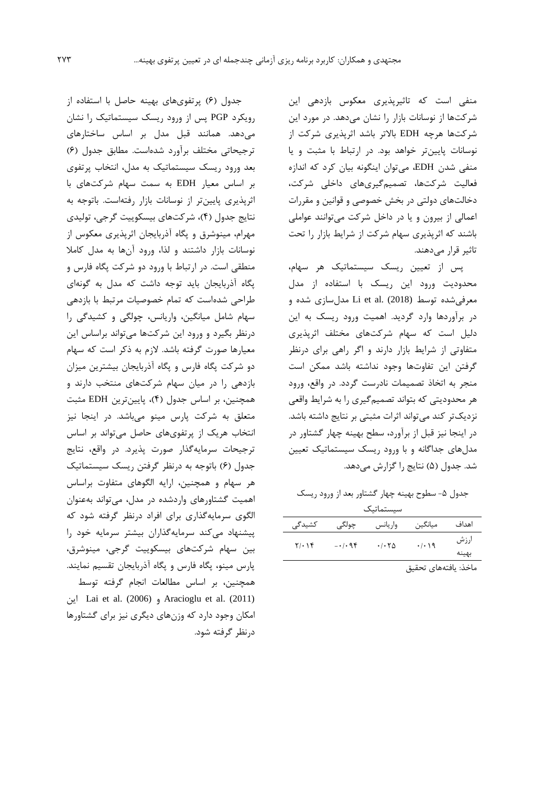منفی است که تاثیرپذيري معکوس بازدهی اين شرکتها از نوسانات بازار را نشان میدهد. در مورد اين شرکتها هرچه EDH باالتر باشد اثرپذيري شرکت از نوسانات پايینتر خواهد بود. در ارتباط با مثبت و يا منفی شدن EDH، میتوان اينگونه بیان کرد که اندازه فعالیت شرکتها، تصمیمگیريهاي داخلی شرکت، دخالتهاي دولتی در بخش خصوصی و قوانین و مقررات اعمالی از بیرون و يا در داخل شرکت میتوانند عواملی باشند که اثرپذيري سهام شرکت از شرايط بازار را تحت تاثیر قرار مے دھند.

پس از تعیین ريسک سیستماتیک هر سهام، محدوديت ورود اين ريسک با استفاده از مدل معرفیشده توسط (2018) .al et Li مدلسازي شده و در برآوردها وارد گرديد. اهمیت ورود ريسک به اين دلیل است که سهام شرکتهاي مختلف اثرپذيري متفاوتی از شرايط بازار دارند و اگر راهی براي درنظر گرفتن اين تفاوتها وجود نداشته باشد ممکن است منجر به اتخاذ تصمیمات نادرست گردد. در واقع، ورود هر محدوديتی که بتواند تصمیمگیري را به شرايط واقعی نزديکتر کند میتواند اثرات مثبتی بر نتايج داشته باشد. در اينجا نیز قبل از برآورد، سطح بهینه چهار گشتاور در مدلهاي جداگانه و با ورود ريسک سیستماتیک تعیین شد. جدول (۵) نتايج را گزارش میدهد.

جدول ۵- سطوح بهینه چهار گشتاور بعد از ورود ريسک

سیستماتیک

| کشیدگی | چولگى   | وار يانس                                | ميانگين          | اهداف         |
|--------|---------|-----------------------------------------|------------------|---------------|
| 7.19   | $-1.98$ | $\cdot$ / $\cdot$ $\uparrow$ $\uparrow$ | $\cdot/\cdot$ 19 | ارزش<br>بهينه |

ماخذ: يافتههاي تحقیق

جدول )6( پرتفويهاي بهینه حاصل با استفاده از رويکرد PGP پس از ورود ريسک سیستماتیک را نشان میدهد. همانند قبل مدل بر اساس ساختارهاي ترجیحاتی مختلف برآورد شدهاست. مطابق جدول )6( بعد ورود ريسک سیستماتیک به مدل، انتخاب پرتفوي بر اساس معیار EDH به سمت سهام شرکتهاي با اثرپذيري پايینتر از نوسانات بازار رفتهاست. باتوجه به نتايج جدول )4(، شرکتهاي بیسکويیت گرجی، تولیدي مهرام، مینوشرق و پگاه آذربايجان اثرپذيري معکوس از نوسانات بازار داشتند و لذا، ورود آنها به مدل کامال منطقی است. در ارتباط با ورود دو شرکت پگاه فارس و پگاه آذربايجان بايد توجه داشت که مدل به گونهاي طراحی شدهاست که تمام خصوصیات مرتبط با بازدهی سهام شامل میانگین، واريانس، چولگی و کشیدگی را درنظر بگیرد و ورود اين شرکتها میتواند براساس اين معیارها صورت گرفته باشد. الزم به ذکر است که سهام دو شرکت پگاه فارس و پگاه آذربايجان بیشترين میزان بازدهی را در میان سهام شرکتهاي منتخب دارند و همچنین، بر اساس جدول )4(، پايینترين EDH مثبت متعلق به شرکت پارس مینو میباشد. در اينجا نیز انتخاب هريک از پرتفويهاي حاصل میتواند بر اساس ترجیحات سرمايهگذار صورت پذيرد. در واقع، نتايج جدول )6( باتوجه به درنظر گرفتن ريسک سیستماتیک هر سهام و همچنین، ارايه الگوهاي متفاوت براساس اهمیت گشتاورهاي واردشده در مدل، میتواند بهعنوان الگوي سرمايهگذاري براي افراد درنظر گرفته شود که پیشنهاد میکند سرمايهگذاران بیشتر سرمايه خود را بین سهام شرکتهاي بیسکويیت گرجی، مینوشرق، پارس مینو، پگاه فارس و پگاه آذربايجان تقسیم نمايند. همچنین، بر اساس مطالعات انجام گرفته توسط اين Lai et al. (2006) و Aracioglu et al. (2011) امکان وجود دارد که وزنهاي ديگري نیز براي گشتاورها درنظر گرفته شود.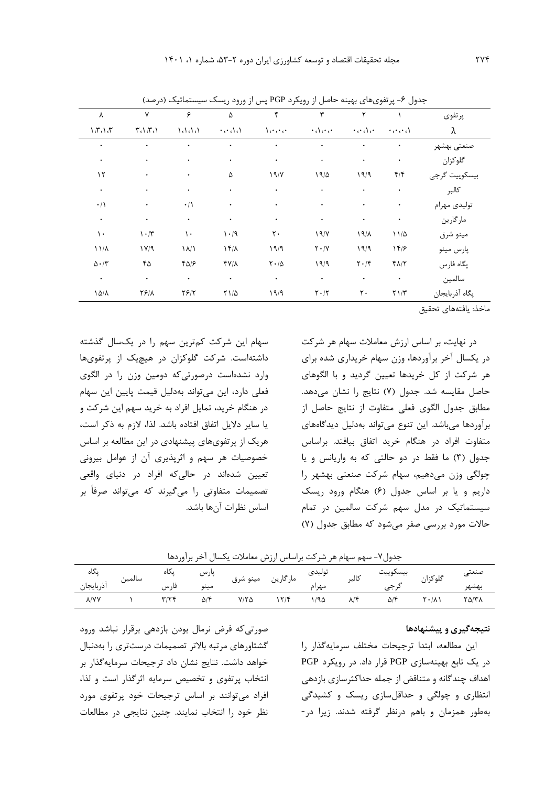|                               | $\sim$                        |                   | <br>,,, ,                             | $\sim$ 7                              | , <i>.,, ,</i> c                          |                               | - *<br>ັ                                         |                |
|-------------------------------|-------------------------------|-------------------|---------------------------------------|---------------------------------------|-------------------------------------------|-------------------------------|--------------------------------------------------|----------------|
| ٨                             | ٧                             | ۶                 | ۵                                     | ۴                                     | ٣                                         | ٢                             |                                                  | پرتفوي         |
| 1.7.1.7                       | 5.1.7.1                       | 1.1.1.1           | $\cdot \cdot \cdot \cdot \cdot \cdot$ | $\Delta$ and $\Delta$                 | $\cdot$                                   | $\cdot$ and an                | $\cdots$                                         | λ              |
| ٠                             | ٠                             |                   | ۰                                     |                                       | ٠                                         | $\bullet$                     | ٠                                                | صنعتي بهشهر    |
| ٠                             | ٠                             | ٠                 | ۰                                     | ٠                                     | $\bullet$                                 | $\bullet$                     | $\bullet$                                        | گلوکزان        |
| ۱۲                            | ٠                             | ٠                 | ۵                                     | 19/Y                                  | 19/2                                      | 19/9                          | $f/\mathfrak{f}$                                 | بيسكوييت گرجى  |
| ٠                             | $\bullet$                     | ٠                 | $\bullet$                             | $\bullet$                             | ٠                                         | $\bullet$                     | $\bullet$                                        | كالبر          |
| $\cdot/\right)$               | $\bullet$                     | $\cdot/\Lambda$   | $\bullet$                             | ٠                                     | $\bullet$                                 | $\bullet$                     | ٠                                                | توليدي مهرام   |
| $\bullet$                     | $\bullet$                     | $\bullet$         | $\bullet$                             |                                       | $\bullet$                                 | $\bullet$                     | $\bullet$                                        | مارگارين       |
| ۱۰                            | $\mathcal{N}\cdot\mathcal{N}$ | ١.                | $\mathcal{N} \cdot \mathcal{N}$       | $\mathsf{r}\cdot$                     | 19/                                       | 19/1                          | $11/\Delta$                                      | مينو شرق       |
| $11/\lambda$                  | $1 \text{V}/9$                | $\lambda/\lambda$ | $1f/\lambda$                          | 19/9                                  | $\mathbf{Y}\boldsymbol{\cdot}/\mathbf{Y}$ | 19/9                          | 189                                              | پارس مينو      |
| $\Delta \cdot / \tilde{\tau}$ | ۴۵                            | $f\Delta$         | $Y/\lambda$                           | $\mathbf{Y}\boldsymbol{\cdot}/\Delta$ | 19/9                                      | $\mathbf{Y} \cdot \mathbf{X}$ | $f\Lambda/\Upsilon$                              | پگاه فارس      |
| $\bullet$                     | $\bullet$                     | $\bullet$         | $\bullet$                             | $\bullet$                             | $\bullet$                                 | $\bullet$                     | $\bullet$                                        | سالمين         |
| $\Lambda \Delta/\Lambda$      | $Y \mathcal{S}/\Lambda$       | Y5/7              | $Y1/\Delta$                           | 19/9                                  | $\mathbf{Y}\boldsymbol{\cdot}/\mathbf{Y}$ | $\mathbf{r}\cdot$             | $\Upsilon\ensuremath{\left.\right)}\xspace/\tau$ | پگاه آذربايجان |
|                               |                               |                   |                                       |                                       |                                           |                               |                                                  |                |

جدول ۶- پرتفوي هاي بهینه حاصل از رويکرد PGP پس از ورود ريسک سیستماتیک (درصد)

ماخذ: يافتههاي تحقیق

در نهايت، بر اساس ارزش معامالت سهام هر شرکت در يکسال آخر برآوردها، وزن سهام خريداري شده براي هر شرکت از کل خريدها تعیین گرديد و با الگوهاي حاصل مقايسه شد. جدول (۷) نتايج را نشان میدهد. مطابق جدول الگوي فعلی متفاوت از نتايج حاصل از برآوردها میباشد. اين تنوع میتواند بهدلیل ديدگاههاي متفاوت افراد در هنگام خريد اتفاق بیافتد. براساس جدول )3( ما فقط در دو حالتی که به واريانس و يا چولگی وزن میدهیم، سهام شرکت صنعتی بهشهر را داريم و يا بر اساس جدول )6( هنگام ورود ريسک سیستماتیک در مدل سهم شرکت سالمین در تمام حاالت مورد بررسی صفر میشود که مطابق جدول )7(

سهام اين شرکت کمترين سهم را در يکسال گذشته داشتهاست. شرکت گلوکزان در هیچيک از پرتفويها وارد نشدهاست درصورتیکه دومین وزن را در الگوي فعلی دارد، اين میتواند بهدلیل قیمت پايین اين سهام در هنگام خريد، تمايل افراد به خريد سهم اين شرکت و يا ساير داليل اتفاق افتاده باشد. لذا، الزم به ذکر است، هريک از پرتفويهاي پیشنهادي در اين مطالعه بر اساس خصوصیات هر سهم و اثرپذيري آن از عوامل بیرونی تعیین شدهاند در حالیکه افراد در دنیاي واقعی تصمیمات متفاوتی را میگیرند که میتواند صرفاً بر اساس نظرات آنها باشد.

جدول-7 سهم سهام هر شرکت براساس ارزش معامالت يکسال آخر برآوردها

| پداہ          |        | يدە   | پارس            | . .              | $\geq$                     | ىوىيدى | كالبر                   | بيسدوييب<br> | گله ،                          |              |
|---------------|--------|-------|-----------------|------------------|----------------------------|--------|-------------------------|--------------|--------------------------------|--------------|
| ادربايجان     | سالمين | گا، س | $\cdot$<br>مينو | $\bullet\bullet$ | ما،<br>مىنە<br>س ہ<br>ن، ت | مهرام  |                         |              | ت<br>- -                       | لسسك         |
| $\lambda$ /YV |        | x'    | $\Delta$ /۴     | $Y/Y$ $\Delta$   | $\sim$ 190                 | 190    | $\sim$<br>$\mathcal{N}$ | $\omega$     | $\checkmark$ . $\checkmark$ ). | <b>TA/TA</b> |

## **نتيجهگيري و پيشنهادها**

اين مطالعه، ابتدا ترجیحات مختلف سرمايهگذار را در يک تابع بهینهسازي PGP قرار داد. در رويکرد PGP اهداف چندگانه و متناقض از جمله حداکثرسازي بازدهی انتظاري و چولگی و حداقلسازي ريسک و کشیدگی بهطور همزمان و باهم درنظر گرفته شدند. زيرا در-

صورتیکه فرض نرمال بودن بازدهی برقرار نباشد ورود گشتاورهاي مرتبه باالتر تصمیمات درستتري را بهدنبال خواهد داشت. نتايج نشان داد ترجیحات سرمايهگذار بر انتخاب پرتفوي و تخصیص سرمايه اثرگذار است و لذا، افراد میتوانند بر اساس ترجیحات خود پرتفوي مورد نظر خود را انتخاب نمايند. چنین نتايجی در مطالعات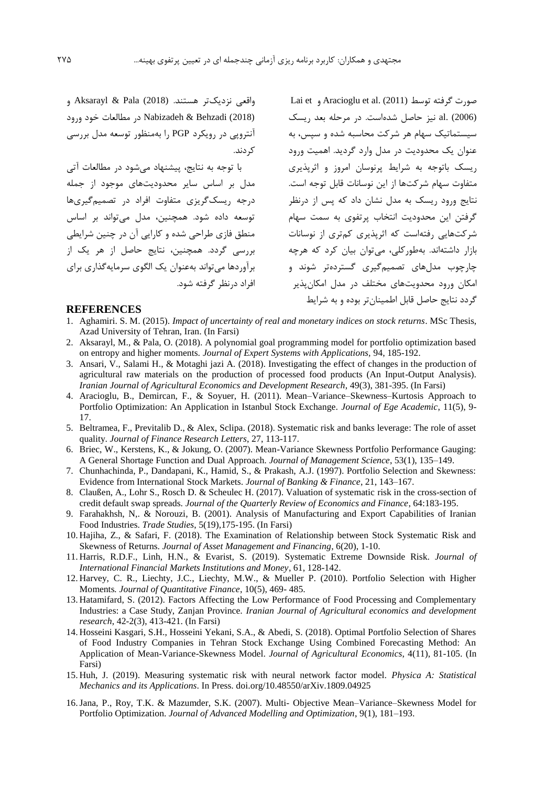واقعی نزديکتر هستند. (2018) Pala & Aksarayl و (2018) Behzadi & Nabizadeh در مطالعات خود ورود آنتروپی در رويکرد PGP را بهمنظور توسعه مدل بررسی کردند.

با توجه به نتايج، پیشنهاد میشود در مطالعات آتی مدل بر اساس ساير محدوديتهاي موجود از جمله درجه ريسکگريزي متفاوت افراد در تصمیمگیريها توسعه داده شود. همچنین، مدل میتواند بر اساس منطق فازي طراحی شده و کارايی آن در چنین شرايطی بررسی گردد. همچنین، نتايج حاصل از هر يک از برآوردها میتواند بهعنوان يک الگوي سرمايهگذاري براي افراد درنظر گرفته شود.

Lai et و Aracioglu et al. (2011) توسط گرفته صورت (2006) .al نیز حاصل شدهاست. در مرحله بعد ريسک سیستماتیک سهام هر شرکت محاسبه شده و سپس، به عنوان يک محدوديت در مدل وارد گرديد. اهمیت ورود ريسک باتوجه به شرايط پرنوسان امروز و اثرپذيري متفاوت سهام شرکتها از اين نوسانات قابل توجه است. نتايج ورود ريسک به مدل نشان داد که پس از درنظر گرفتن اين محدوديت انتخاب پرتفوي به سمت سهام شرکتهايی رفتهاست که اثرپذيري کمتري از نوسانات بازار داشتهاند. بهطورکلی، میتوان بیان کرد که هرچه چارچوب مدلهاي تصمیمگیري گستردهتر شوند و امکان ورود محدويتهاي مختلف در مدل امکانپذير گردد نتايج حاصل قابل اطمینانتر بوده و به شرايط

#### **REFERENCES**

- 1. Aghamiri. S. M. (2015). *Impact of uncertainty of real and monetary indices on stock returns*. MSc Thesis, Azad University of Tehran, Iran. (In Farsi)
- 2. Aksarayl, M., & Pala, O. (2018). A polynomial goal programming model for portfolio optimization based on entropy and higher moments. *Journal of Expert Systems with Applications,* 94, 185-192.
- 3. Ansari, V., Salami H., & Motaghi jazi A. (2018). Investigating the effect of changes in the production of agricultural raw materials on the production of processed food products (An Input-Output Analysis). *Iranian Journal of Agricultural Economics and Development Research*, 49(3), 381-395. (In Farsi)
- 4. Aracioglu, B., Demircan, F., & Soyuer, H. (2011). Mean–Variance–Skewness–Kurtosis Approach to Portfolio Optimization: An Application in Istanbul Stock Exchange. *Journal of Ege Academic*, 11(5), 9- 17.
- 5. Beltramea, F., Previtalib D., & Alex, Sclipa. (2018). Systematic risk and banks leverage: The role of asset quality. *Journal of Finance Research Letters*, 27, 113-117.
- 6. Briec, W., Kerstens, K., & Jokung, O. (2007). Mean-Variance Skewness Portfolio Performance Gauging: A General Shortage Function and Dual Approach. *Journal of Management Science*, 53(1), 135–149.
- 7. Chunhachinda, P., Dandapani, K., Hamid, S., & Prakash, A.J. (1997). Portfolio Selection and Skewness: Evidence from International Stock Markets. *Journal of Banking & Finance*, 21, 143–167.
- 8. Claußen, A., Lohr S., Rosch D. & Scheulec H. (2017). Valuation of systematic risk in the cross-section of credit default swap spreads. *Journal of the Quarterly Review of Economics and Finance*, 64:183-195.
- 9. Farahakhsh, N,. & Norouzi, B. (2001). Analysis of Manufacturing and Export Capabilities of Iranian Food Industries. *Trade Studies*, 5(19),175-195. (In Farsi)
- 10. Hajiha, Z., & Safari, F. (2018). The Examination of Relationship between Stock Systematic Risk and Skewness of Returns. *Journal of Asset Management and Financing*, 6(20), 1-10.
- 11. Harris, R.D.F., Linh, H.N., & Evarist, S. (2019). Systematic Extreme Downside Risk. *Journal of International Financial Markets Institutions and Money*, 61, 128-142.
- 12. Harvey, C. R., Liechty, J.C., Liechty, M.W., & Mueller P. (2010). Portfolio Selection with Higher Moments*. Journal of Quantitative Finance*, 10(5), 469- 485.
- 13. Hatamifard, S. (2012). Factors Affecting the Low Performance of Food Processing and Complementary Industries: a Case Study, Zanjan Province. *Iranian Journal of Agricultural economics and development research*, 42-2(3), 413-421. (In Farsi)
- 14. Hosseini Kasgari, S.H., Hosseini Yekani, S.A., & Abedi, S. (2018). Optimal Portfolio Selection of Shares of Food Industry Companies in Tehran Stock Exchange Using Combined Forecasting Method: An Application of Mean-Variance-Skewness Model. *Journal of Agricultural Economics*, 4(11), 81-105. (In Farsi)
- 15. Huh, J. (2019). Measuring systematic risk with neural network factor model. *Physica A: Statistical Mechanics and its Applications*. In Press. doi.org/10.48550/arXiv.1809.04925
- 16.Jana, P., Roy, T.K. & Mazumder, S.K. (2007). Multi- Objective Mean–Variance–Skewness Model for Portfolio Optimization. *Journal of Advanced Modelling and Optimization*, 9(1), 181–193.